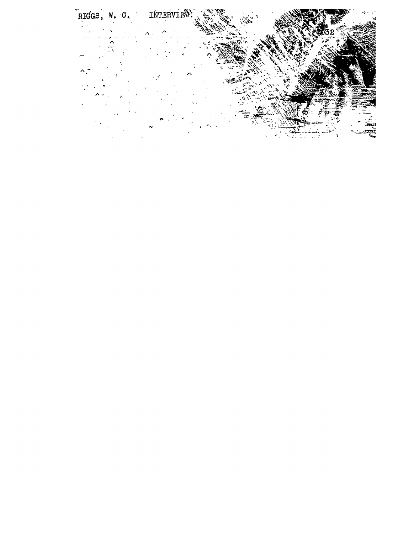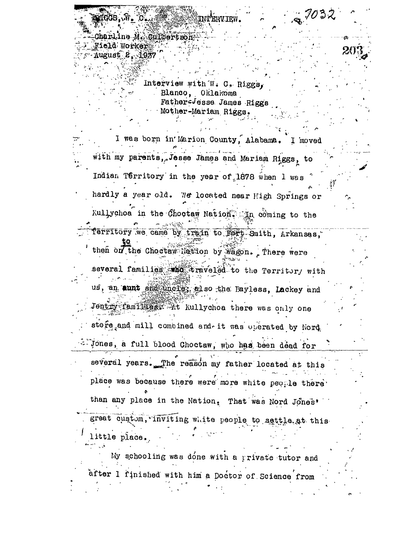$\mathtt{CharLine\ M.\ }Gullbertsor$ Field Worker August 2. 1937

> Interview with W. C. Riggs, Blanco, Oklahoma Father=Jesse James Riggs Mother-Mariam Riggs.

I was born in Marion County, Alabama. I moved with my parents, Jesse James and Mariam Riggs, to Indian Territory in the year of 1878 when I was hardly a year old. We located near High Springs or Kullychoa in the Chootaw Nation. In coming to the Territory we came by train to Fort Smith, Arkansas, then on the Choctaw Nation by Wagon. There were several families who traveled to the Territor, with us, an aunt and uncles, also the Bayless, Lackey and Jentry family at Kullychoa there was only one store and mill combined and it was operated by Nord Jones, a full blood Choctaw, who has been dead for several years. The reason my father located at this place was because there were more white people there than any place in the Nation, That was Nord Jones' great custom, inviting white people to sattle at this little place.

My schooling was done with a private tutor and after I finished with him a Doctor of Science from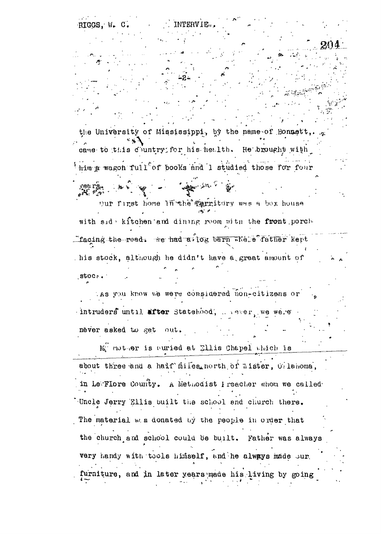RIGGS. W. **INTERVIE.** C 31 the University of Mississippi, by the name of Bonnett came to this country for his health. He brought with him a wagon full of books and I studied those for four المخارجين Dur first home lurthe Territory was a box house الأماري المراجع with side kitchen and dining reom with the front porch-Theoing the read. The had attog barn whete father kept his stock, although he didn't have a great amount of  $300c<sub>r</sub>$ . LAS you know we were considered non-citizens or intruders until after Statekood, we see we we e never asked to get out. Me nother is curied at Ellis Chapel which is about three and a haif alles north of aister, O lahoma, in LewTiore County. A Methodist Preacher whom we called Uncle Jerry Ellis built the school and church there. The material w.s donated by the people in order that the church and school could be built. Father was always very handy with tools himself, and he always made our furniture, and in later years made his living by going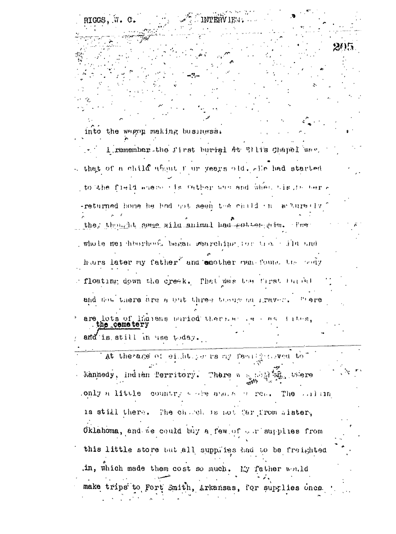into the wagon making business. I remember the first buried At Wilis Chapel was.  $\sim$  that of a child about f ur years old. The had started to the field where ofs Cather was and when his in her a -returned home he had got seen the child in a turelly the thought some wild animal had coller tim. The whole mer heorhood began rearching for tree ile and hars later my father and another nan-found the body floating down the creek. That was the first furned and now there are a out three though an graver. There are lots of limitens paried there as as tites. ceme ter and is still in use  $\text{t}$ day. at therage of eight, per rs my family coved to" Kannedy, Indian Perritory. There we good home were .only a little country seeige and, a correct Theorem in  $\mathbb{R}^n$ is still there. The choleho is not far from wister, Oklahoma, and we could buy a few of  $\sim x$  supplies from this little store but all supplies had to be freighted in, which made them cost so much. My father would make trips to Fort Smith, Arkansas, for supplies once

RIGGS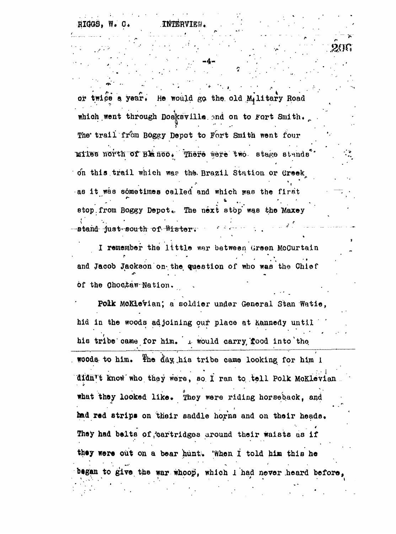RIGGS. W. **.INTER** 

or twice a year. He would go the old M.litary Road which went through Dosksville and on to Fort Smith. The trail from Boggy Depot to Fort Smith went four miles north of BE noo. There were two stage stands. on this trail which was the Brazil Station or Creek as it was sometimes called and which was the first stop from Boggy Depot. The next stop was the Maxey -stand just south of Wister.

I remember the little war between Green McCurtain and Jacob Jackson on the question of who was the Chief of the Choctaw Nation.

Polk McKlevian; a soldier under General Stan Watie, hid in the woods adjoining our place at kannedy until his tribe came for him. I would carry food into the woods to him. The day his tribe came looking for him I didn't know who they were, so I ran to tell Polk McKlevian what they looked like. They were riding horseback, and had red strips on their saddle horns and on their heads. They had belts of cartridges around their waists as if they were out on a bear hunt. When I told him this he began to give the war whoop, which I had never heard before.